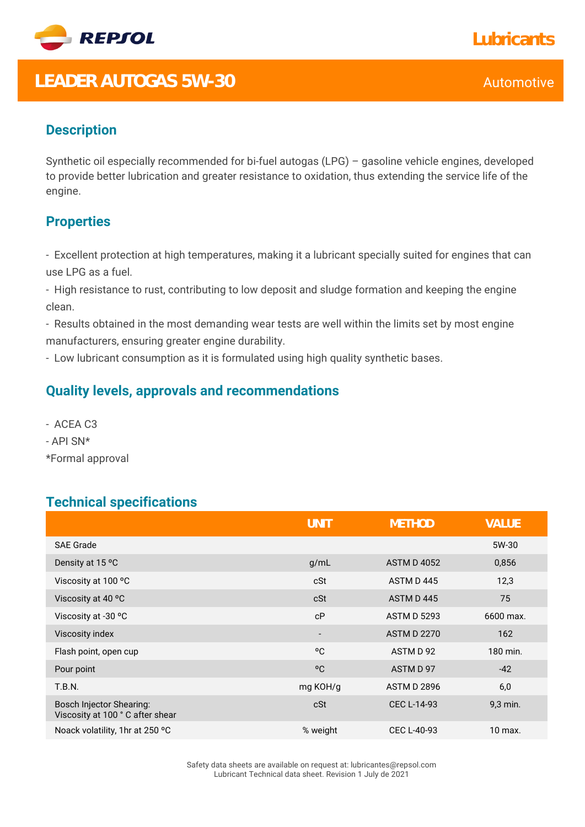

# LEADER AUTOGAS 5W-30 Automotive

## **Description**

Synthetic oil especially recommended for bi-fuel autogas (LPG) – gasoline vehicle engines, developed to provide better lubrication and greater resistance to oxidation, thus extending the service life of the engine.

### **Properties**

- Excellent protection at high temperatures, making it a lubricant specially suited for engines that can use LPG as a fuel.

- High resistance to rust, contributing to low deposit and sludge formation and keeping the engine clean.

- Results obtained in the most demanding wear tests are well within the limits set by most engine manufacturers, ensuring greater engine durability.

- Low lubricant consumption as it is formulated using high quality synthetic bases.

#### **Quality levels, approvals and recommendations**

- ACEA C3
- API SN\*
- \*Formal approval

#### **Technical specifications**

|                                                                    | <b>UNIT</b>              | <b>METHOD</b>      | <b>VALUE</b> |
|--------------------------------------------------------------------|--------------------------|--------------------|--------------|
| <b>SAE Grade</b>                                                   |                          |                    | 5W-30        |
| Density at 15 °C                                                   | g/mL                     | <b>ASTM D 4052</b> | 0,856        |
| Viscosity at 100 °C                                                | cSt                      | ASTM D445          | 12,3         |
| Viscosity at 40 °C                                                 | cSt                      | ASTM D445          | 75           |
| Viscosity at -30 °C                                                | cP                       | <b>ASTM D 5293</b> | 6600 max.    |
| Viscosity index                                                    | $\overline{\phantom{a}}$ | <b>ASTM D 2270</b> | 162          |
| Flash point, open cup                                              | °C                       | ASTM D 92          | 180 min.     |
| Pour point                                                         | °C                       | ASTM D 97          | $-42$        |
| <b>T.B.N.</b>                                                      | mg KOH/g                 | <b>ASTM D 2896</b> | 6,0          |
| <b>Bosch Injector Shearing:</b><br>Viscosity at 100 °C after shear | cSt                      | <b>CEC L-14-93</b> | 9,3 min.     |
| Noack volatility, 1hr at 250 °C                                    | % weight                 | CEC L-40-93        | 10 max.      |

Safety data sheets are available on request at: lubricantes@repsol.com Lubricant Technical data sheet. Revision 1 July de 2021